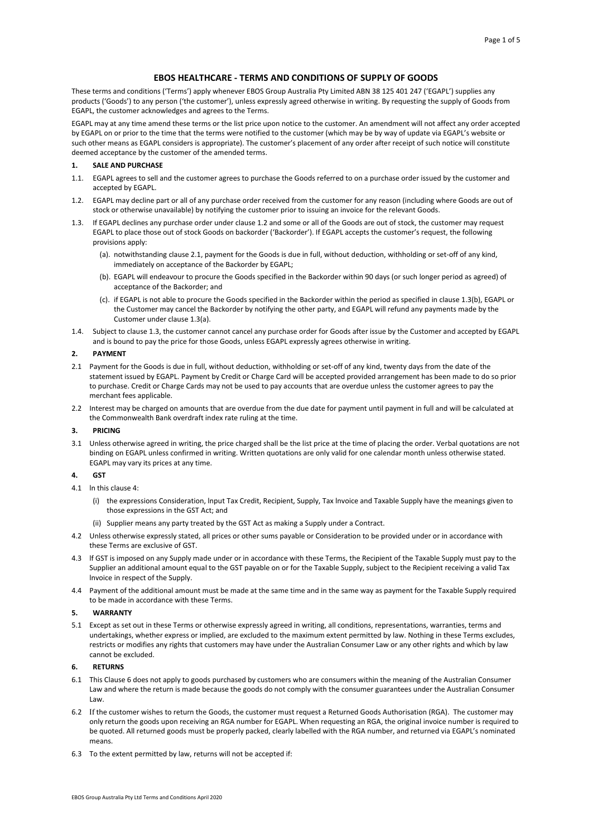# **EBOS HEALTHCARE - TERMS AND CONDITIONS OF SUPPLY OF GOODS**

These terms and conditions ('Terms') apply whenever EBOS Group Australia Pty Limited ABN 38 125 401 247 ('EGAPL') supplies any products ('Goods') to any person ('the customer'), unless expressly agreed otherwise in writing. By requesting the supply of Goods from EGAPL, the customer acknowledges and agrees to the Terms.

EGAPL may at any time amend these terms or the list price upon notice to the customer. An amendment will not affect any order accepted by EGAPL on or prior to the time that the terms were notified to the customer (which may be by way of update via EGAPL's website or such other means as EGAPL considers is appropriate). The customer's placement of any order after receipt of such notice will constitute deemed acceptance by the customer of the amended terms.

### **1. SALE AND PURCHASE**

- 1.1. EGAPL agrees to sell and the customer agrees to purchase the Goods referred to on a purchase order issued by the customer and accepted by EGAPL.
- 1.2. EGAPL may decline part or all of any purchase order received from the customer for any reason (including where Goods are out of stock or otherwise unavailable) by notifying the customer prior to issuing an invoice for the relevant Goods.
- 1.3. If EGAPL declines any purchase order under clause 1.2 and some or all of the Goods are out of stock, the customer may request EGAPL to place those out of stock Goods on backorder ('Backorder'). If EGAPL accepts the customer's request, the following provisions apply:
	- (a). notwithstanding clause 2.1, payment for the Goods is due in full, without deduction, withholding or set-off of any kind, immediately on acceptance of the Backorder by EGAPL;
	- (b). EGAPL will endeavour to procure the Goods specified in the Backorder within 90 days (or such longer period as agreed) of acceptance of the Backorder; and
	- (c). if EGAPL is not able to procure the Goods specified in the Backorder within the period as specified in clause 1.3(b), EGAPL or the Customer may cancel the Backorder by notifying the other party, and EGAPL will refund any payments made by the Customer under clause 1.3(a).
- 1.4. Subject to clause 1.3, the customer cannot cancel any purchase order for Goods after issue by the Customer and accepted by EGAPL and is bound to pay the price for those Goods, unless EGAPL expressly agrees otherwise in writing.

## **2. PAYMENT**

- 2.1 Payment for the Goods is due in full, without deduction, withholding or set-off of any kind, twenty days from the date of the statement issued by EGAPL. Payment by Credit or Charge Card will be accepted provided arrangement has been made to do so prior to purchase. Credit or Charge Cards may not be used to pay accounts that are overdue unless the customer agrees to pay the merchant fees applicable.
- 2.2 Interest may be charged on amounts that are overdue from the due date for payment until payment in full and will be calculated at the Commonwealth Bank overdraft index rate ruling at the time.

# **3. PRICING**

3.1 Unless otherwise agreed in writing, the price charged shall be the list price at the time of placing the order. Verbal quotations are not binding on EGAPL unless confirmed in writing. Written quotations are only valid for one calendar month unless otherwise stated. EGAPL may vary its prices at any time.

# **4. GST**

- $4.1$  In this clause  $4$ .
	- (i) the expressions Consideration, lnput Tax Credit, Recipient, Supply, Tax lnvoice and Taxable Supply have the meanings given to those expressions in the GST Act; and
	- (ii) Supplier means any party treated by the GST Act as making a Supply under a Contract.
- 4.2 Unless otherwise expressly stated, all prices or other sums payable or Consideration to be provided under or in accordance with these Terms are exclusive of GST.
- 4.3 lf GST is imposed on any Supply made under or in accordance with these Terms, the Recipient of the Taxable Supply must pay to the Supplier an additional amount equal to the GST payable on or for the Taxable Supply, subject to the Recipient receiving a valid Tax lnvoice in respect of the Supply.
- 4.4 Payment of the additional amount must be made at the same time and in the same way as payment for the Taxable Supply required to be made in accordance with these Terms.

# **5. WARRANTY**

5.1 Except as set out in these Terms or otherwise expressly agreed in writing, all conditions, representations, warranties, terms and undertakings, whether express or implied, are excluded to the maximum extent permitted by law. Nothing in these Terms excludes, restricts or modifies any rights that customers may have under the Australian Consumer Law or any other rights and which by law cannot be excluded.

# **6. RETURNS**

- 6.1 This Clause 6 does not apply to goods purchased by customers who are consumers within the meaning of the Australian Consumer Law and where the return is made because the goods do not comply with the consumer guarantees under the Australian Consumer Law.
- 6.2 If the customer wishes to return the Goods, the customer must request a Returned Goods Authorisation (RGA). The customer may only return the goods upon receiving an RGA number for EGAPL. When requesting an RGA, the original invoice number is required to be quoted. All returned goods must be properly packed, clearly labelled with the RGA number, and returned via EGAPL's nominated means.
- 6.3 To the extent permitted by law, returns will not be accepted if: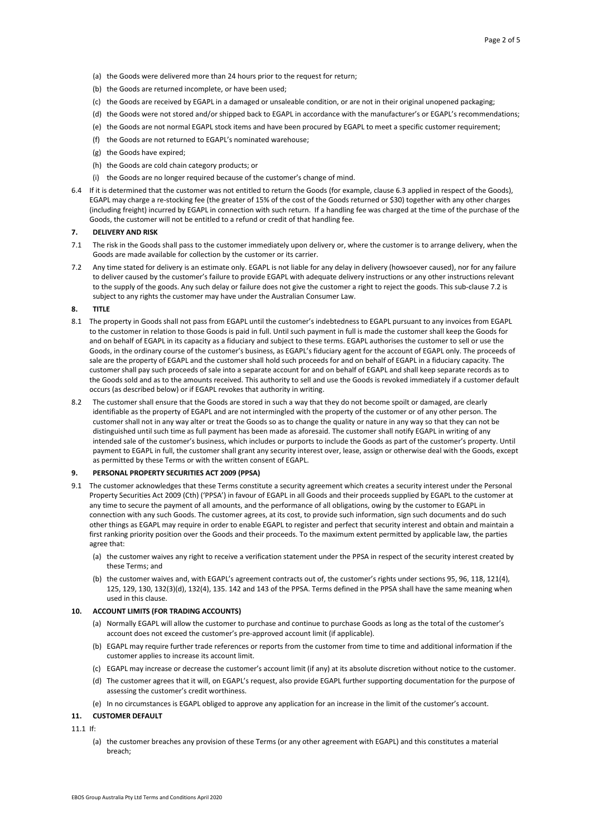- (a) the Goods were delivered more than 24 hours prior to the request for return;
- (b) the Goods are returned incomplete, or have been used;
- (c) the Goods are received by EGAPL in a damaged or unsaleable condition, or are not in their original unopened packaging;
- (d) the Goods were not stored and/or shipped back to EGAPL in accordance with the manufacturer's or EGAPL's recommendations;
- (e) the Goods are not normal EGAPL stock items and have been procured by EGAPL to meet a specific customer requirement;
- (f) the Goods are not returned to EGAPL's nominated warehouse;
- (g) the Goods have expired;
- (h) the Goods are cold chain category products; or
- (i) the Goods are no longer required because of the customer's change of mind.
- 6.4 If it is determined that the customer was not entitled to return the Goods (for example, clause 6.3 applied in respect of the Goods), EGAPL may charge a re-stocking fee (the greater of 15% of the cost of the Goods returned or \$30) together with any other charges (including freight) incurred by EGAPL in connection with such return. If a handling fee was charged at the time of the purchase of the Goods, the customer will not be entitled to a refund or credit of that handling fee.

#### **7. DELIVERY AND RISK**

- 7.1 The risk in the Goods shall pass to the customer immediately upon delivery or, where the customer is to arrange delivery, when the Goods are made available for collection by the customer or its carrier.
- 7.2 Any time stated for delivery is an estimate only. EGAPL is not liable for any delay in delivery (howsoever caused), nor for any failure to deliver caused by the customer's failure to provide EGAPL with adequate delivery instructions or any other instructions relevant to the supply of the goods. Any such delay or failure does not give the customer a right to reject the goods. This sub-clause 7.2 is subject to any rights the customer may have under the Australian Consumer Law.

### **8. TITLE**

- 8.1 The property in Goods shall not pass from EGAPL until the customer's indebtedness to EGAPL pursuant to any invoices from EGAPL to the customer in relation to those Goods is paid in full. Until such payment in full is made the customer shall keep the Goods for and on behalf of EGAPL in its capacity as a fiduciary and subject to these terms. EGAPL authorises the customer to sell or use the Goods, in the ordinary course of the customer's business, as EGAPL's fiduciary agent for the account of EGAPL only. The proceeds of sale are the property of EGAPL and the customer shall hold such proceeds for and on behalf of EGAPL in a fiduciary capacity. The customer shall pay such proceeds of sale into a separate account for and on behalf of EGAPL and shall keep separate records as to the Goods sold and as to the amounts received. This authority to sell and use the Goods is revoked immediately if a customer default occurs (as described below) or if EGAPL revokes that authority in writing.
- 8.2 The customer shall ensure that the Goods are stored in such a way that they do not become spoilt or damaged, are clearly identifiable as the property of EGAPL and are not intermingled with the property of the customer or of any other person. The customer shall not in any way alter or treat the Goods so as to change the quality or nature in any way so that they can not be distinguished until such time as full payment has been made as aforesaid. The customer shall notify EGAPL in writing of any intended sale of the customer's business, which includes or purports to include the Goods as part of the customer's property. Until payment to EGAPL in full, the customer shall grant any security interest over, lease, assign or otherwise deal with the Goods, except as permitted by these Terms or with the written consent of EGAPL.

## **9. PERSONAL PROPERTY SECURITIES ACT 2009 (PPSA)**

- 9.1 The customer acknowledges that these Terms constitute a security agreement which creates a security interest under the Personal Property Securities Act 2009 (Cth) ('PPSA') in favour of EGAPL in all Goods and their proceeds supplied by EGAPL to the customer at any time to secure the payment of all amounts, and the performance of all obligations, owing by the customer to EGAPL in connection with any such Goods. The customer agrees, at its cost, to provide such information, sign such documents and do such other things as EGAPL may require in order to enable EGAPL to register and perfect that security interest and obtain and maintain a first ranking priority position over the Goods and their proceeds. To the maximum extent permitted by applicable law, the parties agree that:
	- (a) the customer waives any right to receive a verification statement under the PPSA in respect of the security interest created by these Terms; and
	- (b) the customer waives and, with EGAPL's agreement contracts out of, the customer's rights under sections 95, 96, 118, 121(4), 125, 129, 130, 132(3)(d), 132(4), 135. 142 and 143 of the PPSA. Terms defined in the PPSA shall have the same meaning when used in this clause.

### **10. ACCOUNT LIMITS (FOR TRADING ACCOUNTS)**

- (a) Normally EGAPL will allow the customer to purchase and continue to purchase Goods as long as the total of the customer's account does not exceed the customer's pre-approved account limit (if applicable).
- (b) EGAPL may require further trade references or reports from the customer from time to time and additional information if the customer applies to increase its account limit.
- (c) EGAPL may increase or decrease the customer's account limit (if any) at its absolute discretion without notice to the customer.
- (d) The customer agrees that it will, on EGAPL's request, also provide EGAPL further supporting documentation for the purpose of assessing the customer's credit worthiness.
- (e) In no circumstances is EGAPL obliged to approve any application for an increase in the limit of the customer's account.

# **11. CUSTOMER DEFAULT**

11.1 If:

(a) the customer breaches any provision of these Terms (or any other agreement with EGAPL) and this constitutes a material breach;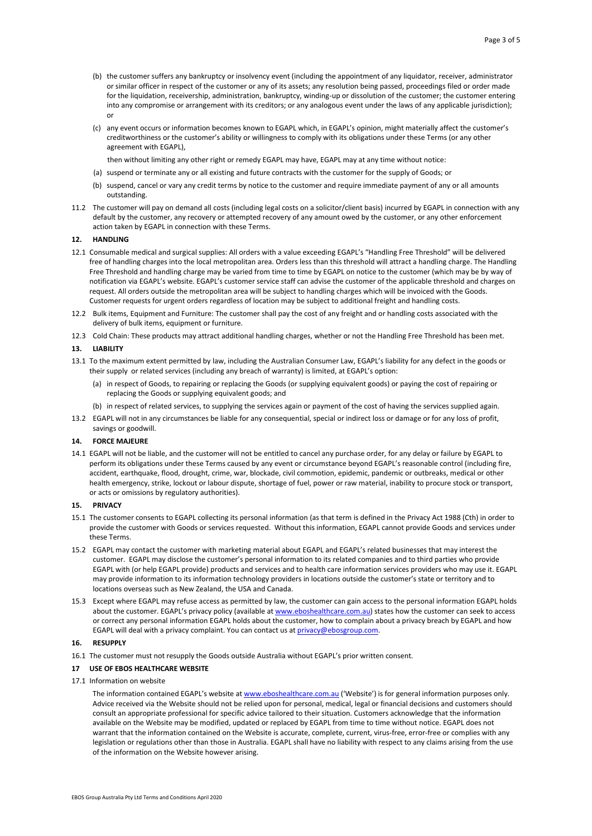- (b) the customer suffers any bankruptcy or insolvency event (including the appointment of any liquidator, receiver, administrator or similar officer in respect of the customer or any of its assets; any resolution being passed, proceedings filed or order made for the liquidation, receivership, administration, bankruptcy, winding-up or dissolution of the customer; the customer entering into any compromise or arrangement with its creditors; or any analogous event under the laws of any applicable jurisdiction); or
- (c) any event occurs or information becomes known to EGAPL which, in EGAPL's opinion, might materially affect the customer's creditworthiness or the customer's ability or willingness to comply with its obligations under these Terms (or any other agreement with EGAPL),

then without limiting any other right or remedy EGAPL may have, EGAPL may at any time without notice:

- (a) suspend or terminate any or all existing and future contracts with the customer for the supply of Goods; or
- (b) suspend, cancel or vary any credit terms by notice to the customer and require immediate payment of any or all amounts outstanding.
- 11.2 The customer will pay on demand all costs (including legal costs on a solicitor/client basis) incurred by EGAPL in connection with any default by the customer, any recovery or attempted recovery of any amount owed by the customer, or any other enforcement action taken by EGAPL in connection with these Terms.

#### **12. HANDLING**

- 12.1 Consumable medical and surgical supplies: All orders with a value exceeding EGAPL's "Handling Free Threshold" will be delivered free of handling charges into the local metropolitan area. Orders less than this threshold will attract a handling charge. The Handling Free Threshold and handling charge may be varied from time to time by EGAPL on notice to the customer (which may be by way of notification via EGAPL's website. EGAPL's customer service staff can advise the customer of the applicable threshold and charges on request. All orders outside the metropolitan area will be subject to handling charges which will be invoiced with the Goods. Customer requests for urgent orders regardless of location may be subject to additional freight and handling costs.
- 12.2 Bulk items, Equipment and Furniture: The customer shall pay the cost of any freight and or handling costs associated with the delivery of bulk items, equipment or furniture.
- 12.3 Cold Chain: These products may attract additional handling charges, whether or not the Handling Free Threshold has been met.

#### **13. LIABILITY**

- 13.1 To the maximum extent permitted by law, including the Australian Consumer Law, EGAPL's liability for any defect in the goods or their supply or related services (including any breach of warranty) is limited, at EGAPL's option:
	- (a) in respect of Goods, to repairing or replacing the Goods (or supplying equivalent goods) or paying the cost of repairing or replacing the Goods or supplying equivalent goods; and
	- (b) in respect of related services, to supplying the services again or payment of the cost of having the services supplied again.
- 13.2 EGAPL will not in any circumstances be liable for any consequential, special or indirect loss or damage or for any loss of profit, savings or goodwill.

## **14. FORCE MAJEURE**

14.1 EGAPL will not be liable, and the customer will not be entitled to cancel any purchase order, for any delay or failure by EGAPL to perform its obligations under these Terms caused by any event or circumstance beyond EGAPL's reasonable control (including fire, accident, earthquake, flood, drought, crime, war, blockade, civil commotion, epidemic, pandemic or outbreaks, medical or other health emergency, strike, lockout or labour dispute, shortage of fuel, power or raw material, inability to procure stock or transport, or acts or omissions by regulatory authorities).

# **15. PRIVACY**

- 15.1 The customer consents to EGAPL collecting its personal information (as that term is defined in the Privacy Act 1988 (Cth) in order to provide the customer with Goods or services requested. Without this information, EGAPL cannot provide Goods and services under these Terms.
- 15.2 EGAPL may contact the customer with marketing material about EGAPL and EGAPL's related businesses that may interest the customer. EGAPL may disclose the customer's personal information to its related companies and to third parties who provide EGAPL with (or help EGAPL provide) products and services and to health care information services providers who may use it. EGAPL may provide information to its information technology providers in locations outside the customer's state or territory and to locations overseas such as New Zealand, the USA and Canada.
- 15.3 Except where EGAPL may refuse access as permitted by law, the customer can gain access to the personal information EGAPL holds about the customer. EGAPL's privacy policy (available a[t www.eboshealthcare.com.au\)](http://www.eboshealthcare.com.au/) states how the customer can seek to access or correct any personal information EGAPL holds about the customer, how to complain about a privacy breach by EGAPL and how EGAPL will deal with a privacy complaint. You can contact us at privacy@ebosgroup.com.

#### **16. RESUPPLY**

16.1 The customer must not resupply the Goods outside Australia without EGAPL's prior written consent.

## **17 USE OF EBOS HEALTHCARE WEBSITE**

17.1 Information on website

The information contained EGAPL's website a[t www.eboshealthcare.com.au](http://www.eboshealthcare.com.au/) ('Website') is for general information purposes only. Advice received via the Website should not be relied upon for personal, medical, legal or financial decisions and customers should consult an appropriate professional for specific advice tailored to their situation. Customers acknowledge that the information available on the Website may be modified, updated or replaced by EGAPL from time to time without notice. EGAPL does not warrant that the information contained on the Website is accurate, complete, current, virus-free, error-free or complies with any legislation or regulations other than those in Australia. EGAPL shall have no liability with respect to any claims arising from the use of the information on the Website however arising.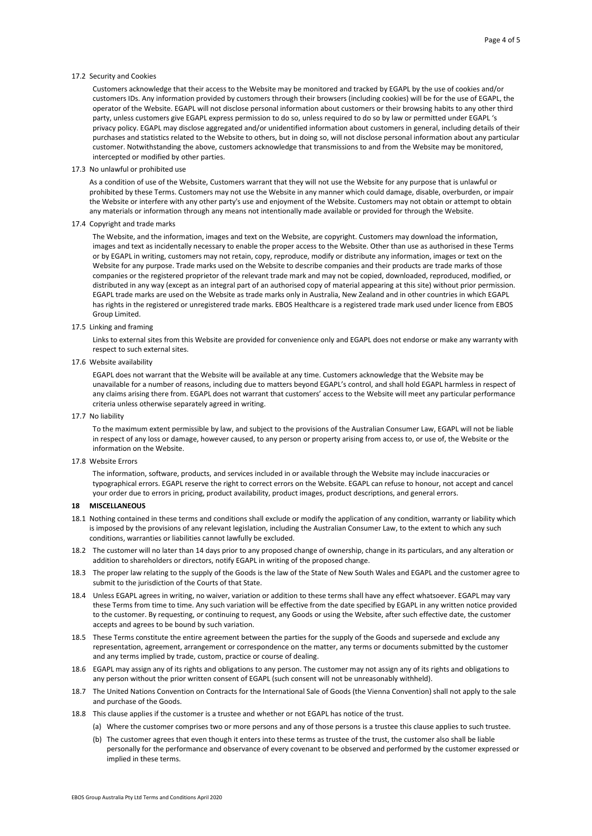#### 17.2 Security and Cookies

Customers acknowledge that their access to the Website may be monitored and tracked by EGAPL by the use of cookies and/or customers IDs. Any information provided by customers through their browsers (including cookies) will be for the use of EGAPL, the operator of the Website. EGAPL will not disclose personal information about customers or their browsing habits to any other third party, unless customers give EGAPL express permission to do so, unless required to do so by law or permitted under EGAPL 's privacy policy. EGAPL may disclose aggregated and/or unidentified information about customers in general, including details of their purchases and statistics related to the Website to others, but in doing so, will not disclose personal information about any particular customer. Notwithstanding the above, customers acknowledge that transmissions to and from the Website may be monitored, intercepted or modified by other parties.

17.3 No unlawful or prohibited use

As a condition of use of the Website, Customers warrant that they will not use the Website for any purpose that is unlawful or prohibited by these Terms. Customers may not use the Website in any manner which could damage, disable, overburden, or impair the Website or interfere with any other party's use and enjoyment of the Website. Customers may not obtain or attempt to obtain any materials or information through any means not intentionally made available or provided for through the Website.

17.4 Copyright and trade marks

The Website, and the information, images and text on the Website, are copyright. Customers may download the information, images and text as incidentally necessary to enable the proper access to the Website. Other than use as authorised in these Terms or by EGAPL in writing, customers may not retain, copy, reproduce, modify or distribute any information, images or text on the Website for any purpose. Trade marks used on the Website to describe companies and their products are trade marks of those companies or the registered proprietor of the relevant trade mark and may not be copied, downloaded, reproduced, modified, or distributed in any way (except as an integral part of an authorised copy of material appearing at this site) without prior permission. EGAPL trade marks are used on the Website as trade marks only in Australia, New Zealand and in other countries in which EGAPL has rights in the registered or unregistered trade marks. EBOS Healthcare is a registered trade mark used under licence from EBOS Group Limited.

17.5 Linking and framing

Links to external sites from this Website are provided for convenience only and EGAPL does not endorse or make any warranty with respect to such external sites.

17.6 Website availability

EGAPL does not warrant that the Website will be available at any time. Customers acknowledge that the Website may be unavailable for a number of reasons, including due to matters beyond EGAPL's control, and shall hold EGAPL harmless in respect of any claims arising there from. EGAPL does not warrant that customers' access to the Website will meet any particular performance criteria unless otherwise separately agreed in writing.

17.7 No liability

To the maximum extent permissible by law, and subject to the provisions of the Australian Consumer Law, EGAPL will not be liable in respect of any loss or damage, however caused, to any person or property arising from access to, or use of, the Website or the information on the Website.

17.8 Website Errors

The information, software, products, and services included in or available through the Website may include inaccuracies or typographical errors. EGAPL reserve the right to correct errors on the Website. EGAPL can refuse to honour, not accept and cancel your order due to errors in pricing, product availability, product images, product descriptions, and general errors.

## **18 MISCELLANEOUS**

- 18.1 Nothing contained in these terms and conditions shall exclude or modify the application of any condition, warranty or liability which is imposed by the provisions of any relevant legislation, including the Australian Consumer Law, to the extent to which any such conditions, warranties or liabilities cannot lawfully be excluded.
- 18.2 The customer will no later than 14 days prior to any proposed change of ownership, change in its particulars, and any alteration or addition to shareholders or directors, notify EGAPL in writing of the proposed change.
- 18.3 The proper law relating to the supply of the Goods is the law of the State of New South Wales and EGAPL and the customer agree to submit to the jurisdiction of the Courts of that State.
- 18.4 Unless EGAPL agrees in writing, no waiver, variation or addition to these terms shall have any effect whatsoever. EGAPL may vary these Terms from time to time. Any such variation will be effective from the date specified by EGAPL in any written notice provided to the customer. By requesting, or continuing to request, any Goods or using the Website, after such effective date, the customer accepts and agrees to be bound by such variation.
- 18.5 These Terms constitute the entire agreement between the parties for the supply of the Goods and supersede and exclude any representation, agreement, arrangement or correspondence on the matter, any terms or documents submitted by the customer and any terms implied by trade, custom, practice or course of dealing.
- 18.6 EGAPL may assign any of its rights and obligations to any person. The customer may not assign any of its rights and obligations to any person without the prior written consent of EGAPL (such consent will not be unreasonably withheld).
- 18.7 The United Nations Convention on Contracts for the International Sale of Goods (the Vienna Convention) shall not apply to the sale and purchase of the Goods.
- 18.8 This clause applies if the customer is a trustee and whether or not EGAPL has notice of the trust.
	- (a) Where the customer comprises two or more persons and any of those persons is a trustee this clause applies to such trustee.
	- (b) The customer agrees that even though it enters into these terms as trustee of the trust, the customer also shall be liable personally for the performance and observance of every covenant to be observed and performed by the customer expressed or implied in these terms.